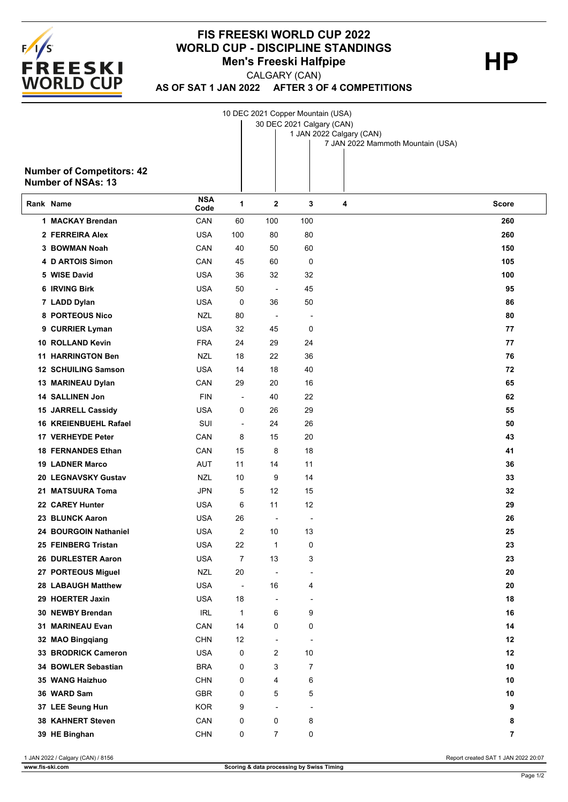

## **FIS FREESKI WORLD CUP 2022 WORLD CUP - DISCIPLINE STANDINGS<br>Men's Freeski Halfpipe HP Men's Freeski Halfpipe**

CALGARY (CAN)

**AS OF SAT 1 JAN 2022 AFTER 3 OF 4 COMPETITIONS**

1 JAN 2022 Calgary (CAN) 30 DEC 2021 Calgary (CAN) 10 DEC 2021 Copper Mountain (USA)

7 JAN 2022 Mammoth Mountain (USA)

## **Number of Competitors: 42 Number of NSAs: 13**

| Rank Name                    | <b>NSA</b><br>Code | 1                        | $\mathbf 2$              | 3                        | 4 | <b>Score</b>   |
|------------------------------|--------------------|--------------------------|--------------------------|--------------------------|---|----------------|
| 1 MACKAY Brendan             | CAN                | 60                       | 100                      | 100                      |   | 260            |
| 2 FERREIRA Alex              | <b>USA</b>         | 100                      | 80                       | 80                       |   | 260            |
| 3 BOWMAN Noah                | CAN                | 40                       | 50                       | 60                       |   | 150            |
| 4 D ARTOIS Simon             | CAN                | 45                       | 60                       | 0                        |   | 105            |
| 5 WISE David                 | <b>USA</b>         | 36                       | 32                       | 32                       |   | 100            |
| 6 IRVING Birk                | <b>USA</b>         | 50                       | $\overline{\phantom{a}}$ | 45                       |   | 95             |
| 7 LADD Dylan                 | <b>USA</b>         | $\mathbf 0$              | 36                       | 50                       |   | 86             |
| 8 PORTEOUS Nico              | <b>NZL</b>         | 80                       | $\overline{a}$           | $\overline{a}$           |   | 80             |
| 9 CURRIER Lyman              | <b>USA</b>         | 32                       | 45                       | 0                        |   | 77             |
| 10 ROLLAND Kevin             | <b>FRA</b>         | 24                       | 29                       | 24                       |   | 77             |
| <b>11 HARRINGTON Ben</b>     | <b>NZL</b>         | 18                       | 22                       | 36                       |   | 76             |
| 12 SCHUILING Samson          | <b>USA</b>         | 14                       | 18                       | 40                       |   | 72             |
| 13 MARINEAU Dylan            | CAN                | 29                       | 20                       | 16                       |   | 65             |
| 14 SALLINEN Jon              | <b>FIN</b>         | $\overline{\phantom{a}}$ | 40                       | 22                       |   | 62             |
| 15 JARRELL Cassidy           | <b>USA</b>         | 0                        | 26                       | 29                       |   | 55             |
| <b>16 KREIENBUEHL Rafael</b> | SUI                | $\overline{\phantom{a}}$ | 24                       | 26                       |   | 50             |
| 17 VERHEYDE Peter            | CAN                | 8                        | 15                       | 20                       |   | 43             |
| <b>18 FERNANDES Ethan</b>    | CAN                | 15                       | 8                        | 18                       |   | 41             |
| <b>19 LADNER Marco</b>       | <b>AUT</b>         | 11                       | 14                       | 11                       |   | 36             |
| 20 LEGNAVSKY Gustav          | <b>NZL</b>         | 10                       | 9                        | 14                       |   | 33             |
| 21 MATSUURA Toma             | <b>JPN</b>         | 5                        | 12                       | 15                       |   | 32             |
| 22 CAREY Hunter              | <b>USA</b>         | 6                        | 11                       | 12                       |   | 29             |
| 23 BLUNCK Aaron              | <b>USA</b>         | 26                       | $\overline{\phantom{a}}$ | $\overline{\phantom{a}}$ |   | 26             |
| 24 BOURGOIN Nathaniel        | <b>USA</b>         | 2                        | 10                       | 13                       |   | 25             |
| 25 FEINBERG Tristan          | <b>USA</b>         | 22                       | $\mathbf 1$              | 0                        |   | 23             |
| 26 DURLESTER Aaron           | <b>USA</b>         | 7                        | 13                       | 3                        |   | 23             |
| 27 PORTEOUS Miguel           | <b>NZL</b>         | 20                       | $\overline{\phantom{a}}$ | $\overline{a}$           |   | 20             |
| <b>28 LABAUGH Matthew</b>    | USA                | $\overline{\phantom{a}}$ | 16                       | 4                        |   | 20             |
| 29 HOERTER Jaxin             | USA                | 18                       |                          | $\overline{\phantom{a}}$ |   | 18             |
| 30 NEWBY Brendan             | <b>IRL</b>         | 1                        | 6                        | 9                        |   | 16             |
| 31 MARINEAU Evan             | CAN                | 14                       | 0                        | 0                        |   | 14             |
| 32 MAO Bingqiang             | <b>CHN</b>         | 12                       | $\overline{\phantom{a}}$ | $\overline{a}$           |   | 12             |
| 33 BRODRICK Cameron          | <b>USA</b>         | 0                        | 2                        | 10                       |   | 12             |
| 34 BOWLER Sebastian          | <b>BRA</b>         | 0                        | 3                        | 7                        |   | 10             |
| 35 WANG Haizhuo              | <b>CHN</b>         | 0                        | 4                        | 6                        |   | 10             |
| 36 WARD Sam                  | GBR                | 0                        | 5                        | 5                        |   | 10             |
| 37 LEE Seung Hun             | <b>KOR</b>         | 9                        | $\blacksquare$           | $\overline{\phantom{a}}$ |   | 9              |
| 38 KAHNERT Steven            | CAN                | 0                        | 0                        | 8                        |   | 8              |
| 39 HE Binghan                | <b>CHN</b>         | 0                        | $\overline{7}$           | 0                        |   | $\overline{7}$ |

1 JAN 2022 / Calgary (CAN) / 8156 Report created SAT 1 JAN 2022 20:07